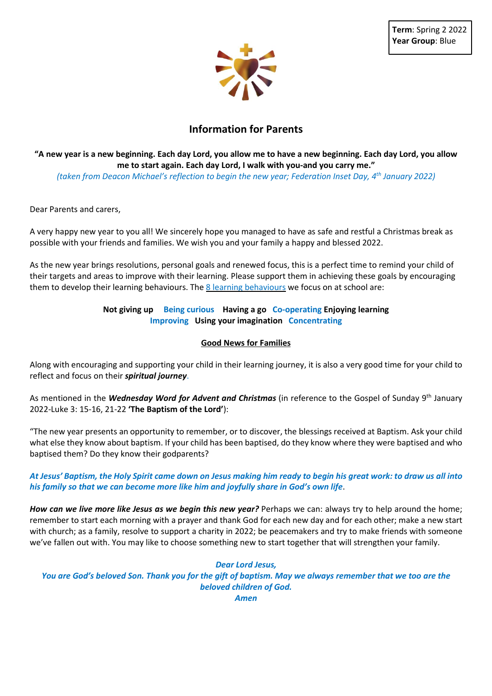

# **Information for Parents**

# "A new year is a new beginning. Each day Lord, you allow me to have a new beginning. Each day Lord, you allow **me to start again. Each day Lord, I walk with you-and you carry me."**

*(taken from Deacon Michael's reflection to begin the new year; Federation Inset Day, 4 th January 2022)*

Dear Parents and carers,

A very happy new year to you all! We sincerely hope you managed to have as safe and restful a Christmas break as possible with your friends and families. We wish you and your family a happy and blessed 2022.

As the new year brings resolutions, personal goals and renewed focus, this is a perfect time to remind your child of their targets and areas to improve with their learning. Please support them in achieving these goals by encouraging them to develop their learning behaviours. The 8 learning behaviours we focus on at school are:

## **Not giving up Being curious Having a go Co-operating Enjoying learning Improving Using your imagination Concentrating**

#### **Good News for Families**

Along with encouraging and supporting your child in their learning journey, it is also a very good time for your child to reflect and focus on their *spiritual journey*.

As mentioned in the *Wednesday Word for Advent and Christmas* (in reference to the Gospel of Sunday 9 th January 2022-Luke 3: 15-16, 21-22 **'The Baptism of the Lord'**):

"The new year presents an opportunity to remember, or to discover, the blessings received at Baptism. Ask your child what else they know about baptism. If your child has been baptised, do they know where they were baptised and who baptised them? Do they know their godparents?

### At Jesus' Baptism, the Holy Spirit came down on Jesus making him ready to begin his great work: to draw us all into *his family so that we can become more like him and joyfully share in God's own life*.

*How can we live more like Jesus as we begin this new year?* Perhaps we can: always try to help around the home; remember to start each morning with a prayer and thank God for each new day and for each other; make a new start with church; as a family, resolve to support a charity in 2022; be peacemakers and try to make friends with someone we've fallen out with. You may like to choose something new to start together that will strengthen your family.

#### *Dear Lord Jesus,*

You are God's beloved Son. Thank you for the gift of baptism. May we always remember that we too are the *beloved children of God. Amen*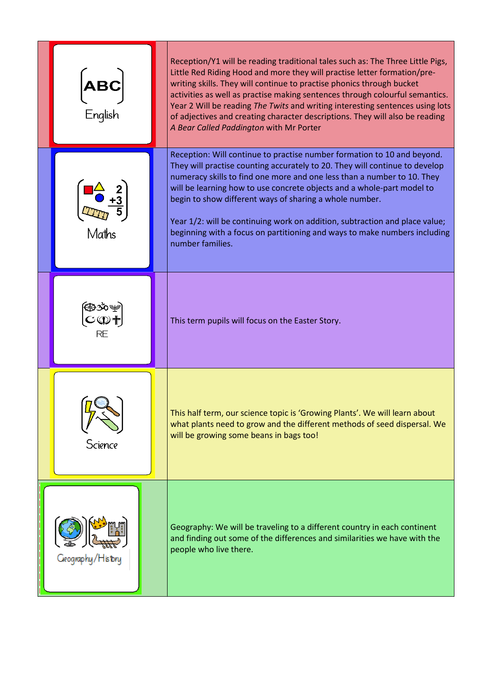| <b>ABC</b><br>.<br>English | Reception/Y1 will be reading traditional tales such as: The Three Little Pigs,<br>Little Red Riding Hood and more they will practise letter formation/pre-<br>writing skills. They will continue to practise phonics through bucket<br>activities as well as practise making sentences through colourful semantics.<br>Year 2 Will be reading The Twits and writing interesting sentences using lots<br>of adjectives and creating character descriptions. They will also be reading<br>A Bear Called Paddington with Mr Porter                        |
|----------------------------|--------------------------------------------------------------------------------------------------------------------------------------------------------------------------------------------------------------------------------------------------------------------------------------------------------------------------------------------------------------------------------------------------------------------------------------------------------------------------------------------------------------------------------------------------------|
| Maths                      | Reception: Will continue to practise number formation to 10 and beyond.<br>They will practise counting accurately to 20. They will continue to develop<br>numeracy skills to find one more and one less than a number to 10. They<br>will be learning how to use concrete objects and a whole-part model to<br>begin to show different ways of sharing a whole number.<br>Year 1/2: will be continuing work on addition, subtraction and place value;<br>beginning with a focus on partitioning and ways to make numbers including<br>number families. |
| ֎ைഴ<br>C©†<br><b>RE</b>    | This term pupils will focus on the Easter Story.                                                                                                                                                                                                                                                                                                                                                                                                                                                                                                       |
| Science                    | This half term, our science topic is 'Growing Plants'. We will learn about<br>what plants need to grow and the different methods of seed dispersal. We<br>will be growing some beans in bags too!                                                                                                                                                                                                                                                                                                                                                      |
| Geography/History          | Geography: We will be traveling to a different country in each continent<br>and finding out some of the differences and similarities we have with the<br>people who live there.                                                                                                                                                                                                                                                                                                                                                                        |